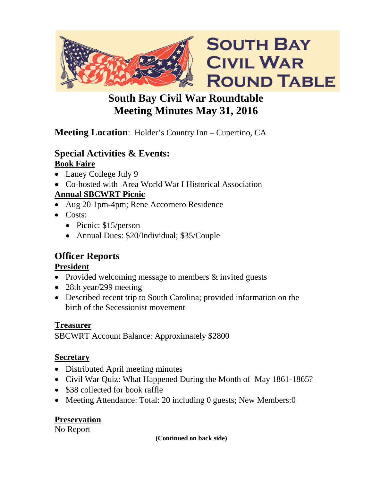

# **South Bay Civil War Roundtable Meeting Minutes May 31, 2016**

# **Meeting Location**: Holder's Country Inn – Cupertino, CA

#### **Special Activities & Events: Book Faire**

- Laney College July 9
- Co-hosted with Area World War I Historical Association

# **Annual SBCWRT Picnic**

- Aug 20 1pm-4pm; Rene Accornero Residence
- Costs:
	- Picnic: \$15/person
	- Annual Dues: \$20/Individual; \$35/Couple

# **Officer Reports**

### **President**

- Provided welcoming message to members & invited guests
- 28th year/299 meeting
- Described recent trip to South Carolina; provided information on the birth of the Secessionist movement

## **Treasurer**

SBCWRT Account Balance: Approximately \$2800

## **Secretary**

- Distributed April meeting minutes
- Civil War Quiz: What Happened During the Month of May 1861-1865?
- \$38 collected for book raffle
- Meeting Attendance: Total: 20 including 0 guests; New Members: 0

## **Preservation**

No Report

**(Continued on back side)**